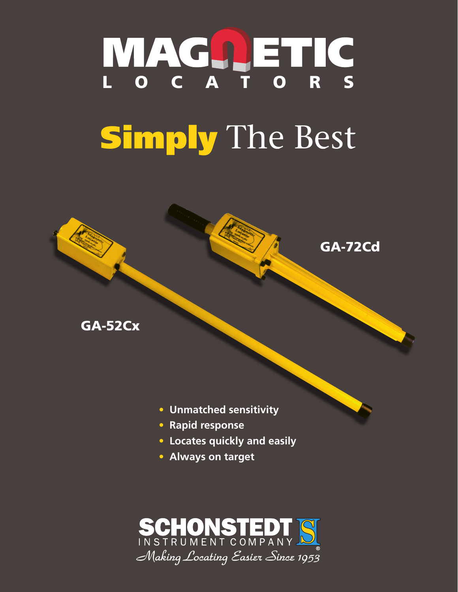## NAGA ETIC Simply The Best

**READER** 

GA-72Cd



**• Rapid response**

GA-52Cx

- **• Locates quickly and easily**
- **• Always on target**